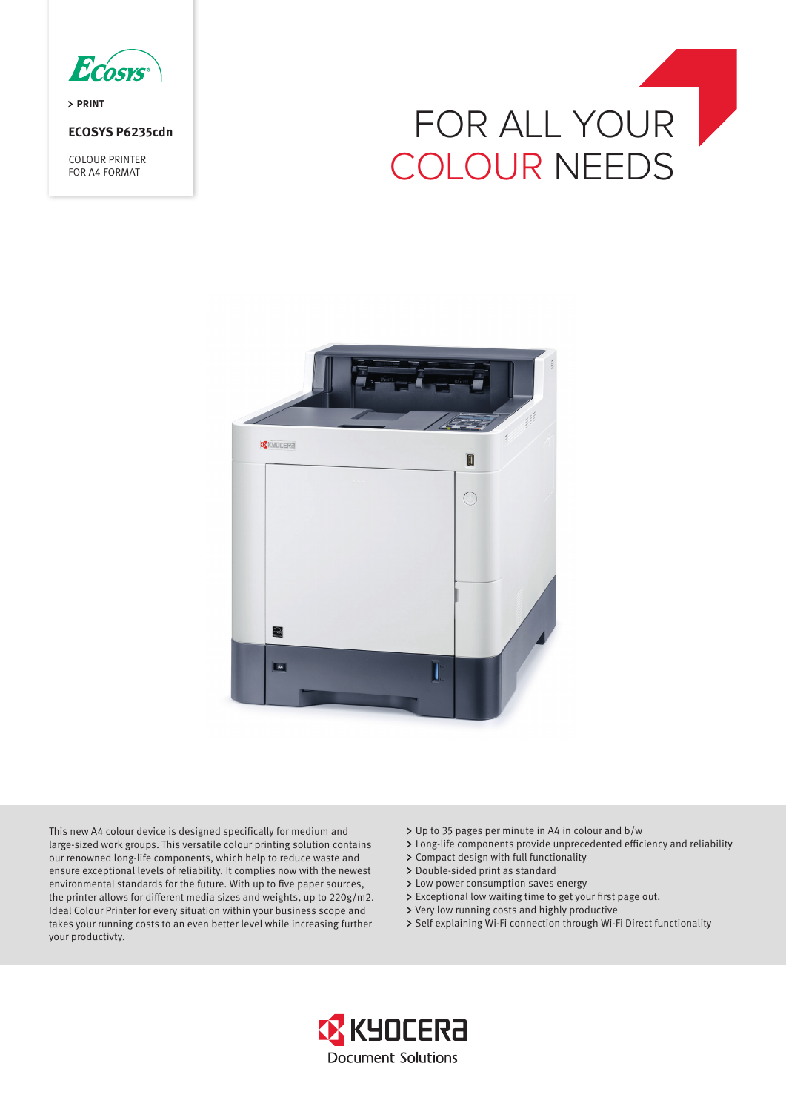

> PRINT

# **ECOSYS P6235cdn**

COLOUR PRINTER FOR A4 FORMAT





This new A4 colour device is designed specifically for medium and large-sized work groups. This versatile colour printing solution contains our renowned long-life components, which help to reduce waste and ensure exceptional levels of reliability. It complies now with the newest environmental standards for the future. With up to five paper sources, the printer allows for different media sizes and weights, up to 220g/m2. Ideal Colour Printer for every situation within your business scope and takes your running costs to an even better level while increasing further your productivty.

- Up to 35 pages per minute in A4 in colour and b/w
- Long-life components provide unprecedented efficiency and reliability
- Compact design with full functionality
- > Double-sided print as standard
- > Low power consumption saves energy
- Exceptional low waiting time to get your first page out.
- Very low running costs and highly productive
- > Self explaining Wi-Fi connection through Wi-Fi Direct functionality